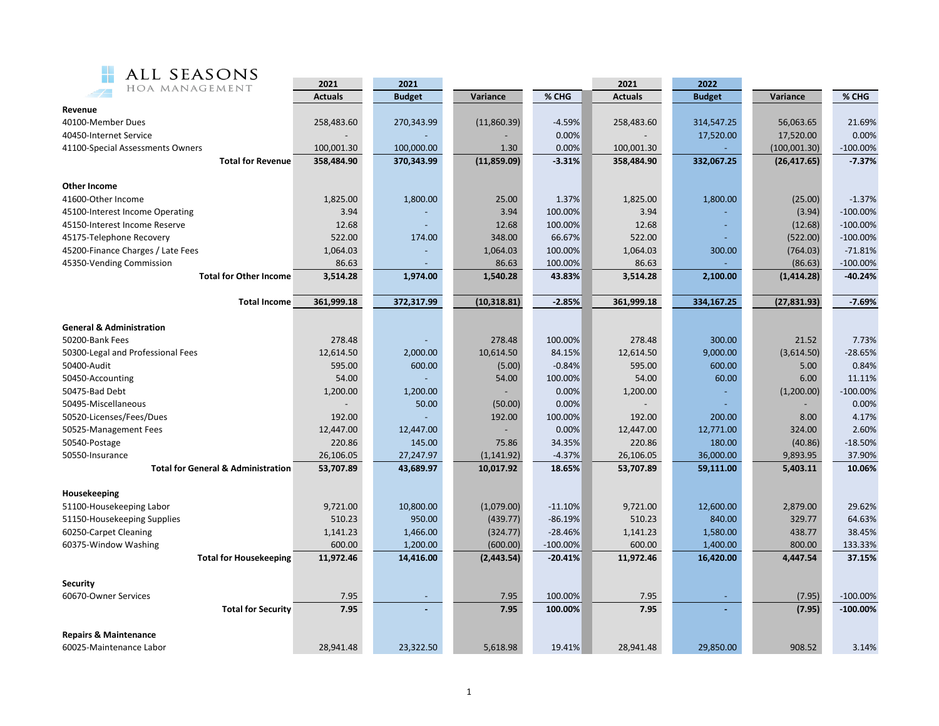

| HOA MANAGEMENT                                | 2021           | 2021          |              |             | 2021           | 2022          |              |                           |
|-----------------------------------------------|----------------|---------------|--------------|-------------|----------------|---------------|--------------|---------------------------|
|                                               | <b>Actuals</b> | <b>Budget</b> | Variance     | % CHG       | <b>Actuals</b> | <b>Budget</b> | Variance     | % CHG                     |
| Revenue                                       |                |               |              |             |                |               |              |                           |
| 40100-Member Dues                             | 258,483.60     | 270,343.99    | (11,860.39)  | -4.59%      | 258,483.60     | 314,547.25    | 56,063.65    | 21.69%                    |
| 40450-Internet Service                        |                |               |              | 0.00%       |                | 17,520.00     | 17,520.00    | 0.00%                     |
| 41100-Special Assessments Owners              | 100,001.30     | 100,000.00    | 1.30         | 0.00%       | 100,001.30     |               | (100,001.30) | $-100.00%$                |
| <b>Total for Revenue</b>                      | 358,484.90     | 370,343.99    | (11,859.09)  | $-3.31%$    | 358,484.90     | 332,067.25    | (26, 417.65) | $-7.37%$                  |
|                                               |                |               |              |             |                |               |              |                           |
| <b>Other Income</b>                           |                |               |              |             |                |               |              |                           |
| 41600-Other Income                            | 1,825.00       | 1,800.00      | 25.00        | 1.37%       | 1,825.00       | 1,800.00      | (25.00)      | $-1.37%$                  |
| 45100-Interest Income Operating               | 3.94           |               | 3.94         | 100.00%     | 3.94           |               | (3.94)       | $-100.00\%$               |
| 45150-Interest Income Reserve                 | 12.68          |               | 12.68        | 100.00%     | 12.68          |               | (12.68)      | $-100.00%$                |
| 45175-Telephone Recovery                      | 522.00         | 174.00        | 348.00       | 66.67%      | 522.00         |               | (522.00)     | $-100.00\%$               |
| 45200-Finance Charges / Late Fees             | 1,064.03       |               | 1,064.03     | 100.00%     | 1,064.03       | 300.00        | (764.03)     | $-71.81%$                 |
| 45350-Vending Commission                      | 86.63          |               | 86.63        | 100.00%     | 86.63          |               | (86.63)      | $-100.00%$                |
| <b>Total for Other Income</b>                 | 3,514.28       | 1,974.00      | 1,540.28     | 43.83%      | 3,514.28       | 2,100.00      | (1, 414.28)  | $-40.24%$                 |
|                                               |                |               |              |             |                |               |              |                           |
| <b>Total Income</b>                           | 361,999.18     | 372,317.99    | (10, 318.81) | $-2.85%$    | 361,999.18     | 334,167.25    | (27, 831.93) | $-7.69%$                  |
|                                               |                |               |              |             |                |               |              |                           |
| <b>General &amp; Administration</b>           |                |               |              |             |                |               |              |                           |
| 50200-Bank Fees                               | 278.48         |               | 278.48       | 100.00%     | 278.48         | 300.00        | 21.52        | 7.73%                     |
| 50300-Legal and Professional Fees             | 12,614.50      | 2,000.00      | 10,614.50    | 84.15%      | 12,614.50      | 9,000.00      | (3,614.50)   | $-28.65%$                 |
| 50400-Audit                                   | 595.00         | 600.00        | (5.00)       | $-0.84%$    | 595.00         | 600.00        | 5.00         | 0.84%                     |
| 50450-Accounting                              | 54.00          |               | 54.00        | 100.00%     | 54.00          | 60.00         | 6.00         | 11.11%                    |
| 50475-Bad Debt                                | 1,200.00       | 1,200.00      |              | 0.00%       | 1,200.00       |               | (1,200.00)   | $-100.00%$                |
| 50495-Miscellaneous                           |                | 50.00         | (50.00)      | 0.00%       |                |               |              | 0.00%                     |
| 50520-Licenses/Fees/Dues                      | 192.00         |               | 192.00       | 100.00%     | 192.00         | 200.00        | 8.00         | 4.17%                     |
| 50525-Management Fees                         | 12,447.00      | 12,447.00     |              | 0.00%       | 12,447.00      | 12,771.00     | 324.00       | 2.60%                     |
| 50540-Postage                                 | 220.86         | 145.00        | 75.86        | 34.35%      | 220.86         | 180.00        | (40.86)      | $-18.50%$                 |
| 50550-Insurance                               | 26,106.05      | 27,247.97     | (1, 141.92)  | $-4.37%$    | 26,106.05      | 36,000.00     | 9,893.95     | 37.90%                    |
| <b>Total for General &amp; Administration</b> | 53,707.89      | 43,689.97     | 10,017.92    | 18.65%      | 53,707.89      | 59,111.00     | 5,403.11     | 10.06%                    |
|                                               |                |               |              |             |                |               |              |                           |
| Housekeeping                                  |                |               |              |             |                |               |              |                           |
| 51100-Housekeeping Labor                      | 9,721.00       | 10,800.00     | (1,079.00)   | $-11.10%$   | 9,721.00       | 12,600.00     | 2,879.00     | 29.62%                    |
| 51150-Housekeeping Supplies                   | 510.23         | 950.00        | (439.77)     | $-86.19%$   | 510.23         | 840.00        | 329.77       | 64.63%                    |
| 60250-Carpet Cleaning                         | 1,141.23       | 1,466.00      | (324.77)     | $-28.46%$   | 1,141.23       | 1,580.00      | 438.77       | 38.45%                    |
| 60375-Window Washing                          | 600.00         | 1,200.00      | (600.00)     | $-100.00\%$ | 600.00         | 1,400.00      | 800.00       | 133.33%                   |
| <b>Total for Housekeeping</b>                 | 11,972.46      | 14,416.00     | (2, 443.54)  | $-20.41%$   | 11,972.46      | 16,420.00     | 4,447.54     | 37.15%                    |
|                                               |                |               |              |             |                |               |              |                           |
| Security                                      |                |               |              |             |                |               |              |                           |
| 60670-Owner Services                          | 7.95<br>7.95   |               | 7.95<br>7.95 | 100.00%     | 7.95<br>7.95   |               | (7.95)       | $-100.00%$<br>$-100.00\%$ |
| <b>Total for Security</b>                     |                |               |              | 100.00%     |                |               | (7.95)       |                           |
| <b>Repairs &amp; Maintenance</b>              |                |               |              |             |                |               |              |                           |
| 60025-Maintenance Labor                       | 28,941.48      | 23,322.50     | 5,618.98     | 19.41%      | 28.941.48      | 29,850.00     | 908.52       | 3.14%                     |
|                                               |                |               |              |             |                |               |              |                           |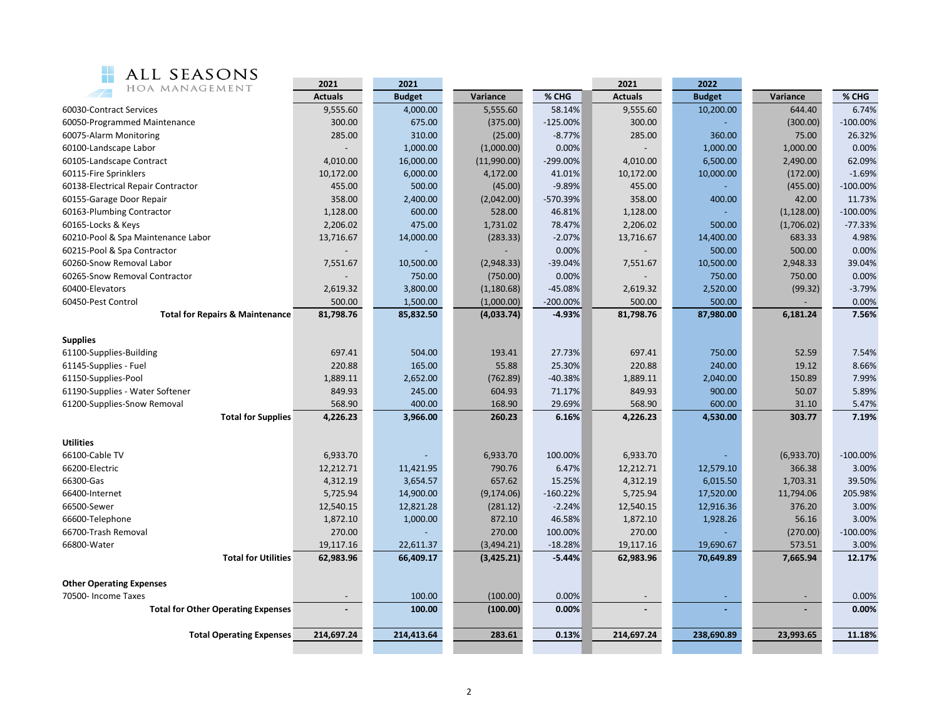

| ALL SEASONS                                | 2021           | 2021          |             |             | 2021                     | 2022          |             |            |
|--------------------------------------------|----------------|---------------|-------------|-------------|--------------------------|---------------|-------------|------------|
| HOA MANAGEMENT                             | <b>Actuals</b> | <b>Budget</b> | Variance    | % CHG       | <b>Actuals</b>           | <b>Budget</b> | Variance    | % CHG      |
| 60030-Contract Services                    | 9,555.60       | 4,000.00      | 5,555.60    | 58.14%      | 9,555.60                 | 10,200.00     | 644.40      | 6.74%      |
| 60050-Programmed Maintenance               | 300.00         | 675.00        | (375.00)    | $-125.00%$  | 300.00                   |               | (300.00)    | $-100.00%$ |
| 60075-Alarm Monitoring                     | 285.00         | 310.00        | (25.00)     | $-8.77%$    | 285.00                   | 360.00        | 75.00       | 26.32%     |
| 60100-Landscape Labor                      |                | 1,000.00      | (1,000.00)  | 0.00%       |                          | 1,000.00      | 1,000.00    | 0.00%      |
| 60105-Landscape Contract                   | 4,010.00       | 16,000.00     | (11,990.00) | -299.00%    | 4,010.00                 | 6,500.00      | 2,490.00    | 62.09%     |
| 60115-Fire Sprinklers                      | 10,172.00      | 6,000.00      | 4,172.00    | 41.01%      | 10,172.00                | 10,000.00     | (172.00)    | $-1.69%$   |
| 60138-Electrical Repair Contractor         | 455.00         | 500.00        | (45.00)     | $-9.89%$    | 455.00                   |               | (455.00)    | $-100.00%$ |
| 60155-Garage Door Repair                   | 358.00         | 2,400.00      | (2,042.00)  | -570.39%    | 358.00                   | 400.00        | 42.00       | 11.73%     |
| 60163-Plumbing Contractor                  | 1,128.00       | 600.00        | 528.00      | 46.81%      | 1,128.00                 |               | (1, 128.00) | $-100.00%$ |
| 60165-Locks & Keys                         | 2,206.02       | 475.00        | 1,731.02    | 78.47%      | 2,206.02                 | 500.00        | (1,706.02)  | $-77.33%$  |
| 60210-Pool & Spa Maintenance Labor         | 13,716.67      | 14,000.00     | (283.33)    | $-2.07%$    | 13,716.67                | 14,400.00     | 683.33      | 4.98%      |
| 60215-Pool & Spa Contractor                |                |               |             | 0.00%       |                          | 500.00        | 500.00      | 0.00%      |
| 60260-Snow Removal Labor                   | 7,551.67       | 10,500.00     | (2,948.33)  | $-39.04%$   | 7,551.67                 | 10,500.00     | 2,948.33    | 39.04%     |
| 60265-Snow Removal Contractor              |                | 750.00        | (750.00)    | 0.00%       |                          | 750.00        | 750.00      | 0.00%      |
| 60400-Elevators                            | 2,619.32       | 3,800.00      | (1,180.68)  | $-45.08%$   | 2,619.32                 | 2,520.00      | (99.32)     | $-3.79%$   |
| 60450-Pest Control                         | 500.00         | 1,500.00      | (1,000.00)  | $-200.00\%$ | 500.00                   | 500.00        |             | 0.00%      |
| <b>Total for Repairs &amp; Maintenance</b> | 81,798.76      | 85,832.50     | (4,033.74)  | $-4.93%$    | 81,798.76                | 87,980.00     | 6,181.24    | 7.56%      |
|                                            |                |               |             |             |                          |               |             |            |
| <b>Supplies</b>                            |                |               |             |             |                          |               |             |            |
| 61100-Supplies-Building                    | 697.41         | 504.00        | 193.41      | 27.73%      | 697.41                   | 750.00        | 52.59       | 7.54%      |
| 61145-Supplies - Fuel                      | 220.88         | 165.00        | 55.88       | 25.30%      | 220.88                   | 240.00        | 19.12       | 8.66%      |
| 61150-Supplies-Pool                        | 1,889.11       | 2,652.00      | (762.89)    | $-40.38%$   | 1,889.11                 | 2,040.00      | 150.89      | 7.99%      |
| 61190-Supplies - Water Softener            | 849.93         | 245.00        | 604.93      | 71.17%      | 849.93                   | 900.00        | 50.07       | 5.89%      |
| 61200-Supplies-Snow Removal                | 568.90         | 400.00        | 168.90      | 29.69%      | 568.90                   | 600.00        | 31.10       | 5.47%      |
| <b>Total for Supplies</b>                  | 4,226.23       | 3,966.00      | 260.23      | 6.16%       | 4,226.23                 | 4,530.00      | 303.77      | 7.19%      |
| <b>Utilities</b>                           |                |               |             |             |                          |               |             |            |
| 66100-Cable TV                             | 6,933.70       |               | 6,933.70    | 100.00%     | 6,933.70                 |               | (6,933.70)  | $-100.00%$ |
| 66200-Electric                             | 12,212.71      | 11,421.95     | 790.76      | 6.47%       | 12,212.71                | 12,579.10     | 366.38      | 3.00%      |
| 66300-Gas                                  | 4,312.19       | 3,654.57      | 657.62      | 15.25%      | 4,312.19                 | 6,015.50      | 1,703.31    | 39.50%     |
| 66400-Internet                             | 5,725.94       | 14,900.00     | (9, 174.06) | $-160.22%$  | 5,725.94                 | 17,520.00     | 11,794.06   | 205.98%    |
| 66500-Sewer                                | 12,540.15      | 12,821.28     | (281.12)    | $-2.24%$    | 12,540.15                | 12,916.36     | 376.20      | 3.00%      |
| 66600-Telephone                            | 1,872.10       | 1,000.00      | 872.10      | 46.58%      | 1,872.10                 | 1,928.26      | 56.16       | 3.00%      |
| 66700-Trash Removal                        | 270.00         |               | 270.00      | 100.00%     | 270.00                   |               | (270.00)    | $-100.00%$ |
| 66800-Water                                | 19,117.16      | 22,611.37     | (3,494.21)  | $-18.28%$   | 19,117.16                | 19,690.67     | 573.51      | 3.00%      |
| <b>Total for Utilities</b>                 | 62,983.96      | 66,409.17     | (3,425.21)  | $-5.44%$    | 62,983.96                | 70,649.89     | 7,665.94    | 12.17%     |
|                                            |                |               |             |             |                          |               |             |            |
| <b>Other Operating Expenses</b>            |                |               |             |             |                          |               |             |            |
| 70500- Income Taxes                        |                | 100.00        | (100.00)    | 0.00%       | $\overline{\phantom{a}}$ |               |             | 0.00%      |
| <b>Total for Other Operating Expenses</b>  | $\blacksquare$ | 100.00        | (100.00)    | 0.00%       |                          |               |             | 0.00%      |
| <b>Total Operating Expenses</b>            | 214,697.24     | 214,413.64    | 283.61      | 0.13%       | 214,697.24               | 238,690.89    | 23,993.65   | 11.18%     |
|                                            |                |               |             |             |                          |               |             |            |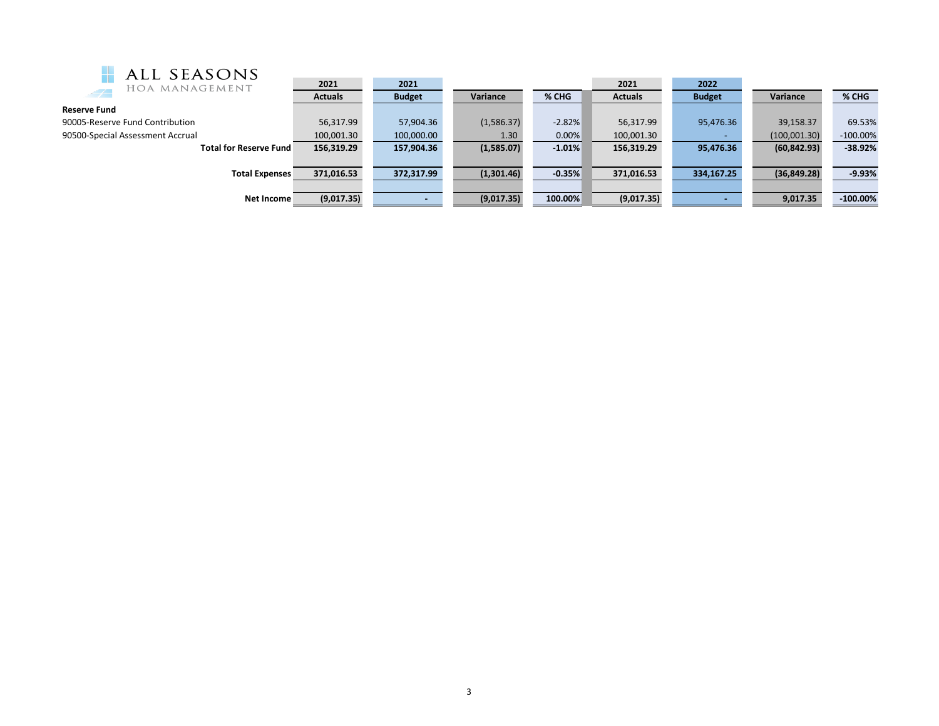| <b>H</b> ALL SEASONS |
|----------------------|
| HOA MANAGEMENT       |

| ALL SEASUINS                     |                |               |            |          |                |               |              |             |
|----------------------------------|----------------|---------------|------------|----------|----------------|---------------|--------------|-------------|
| HOA MANAGEMENT                   | 2021           | 2021          |            |          | 2021           | 2022          |              |             |
| $\rightarrow$                    | <b>Actuals</b> | <b>Budget</b> | Variance   | % CHG    | <b>Actuals</b> | <b>Budget</b> | Variance     | % CHG       |
| <b>Reserve Fund</b>              |                |               |            |          |                |               |              |             |
| 90005-Reserve Fund Contribution  | 56,317.99      | 57,904.36     | (1,586.37) | $-2.82%$ | 56,317.99      | 95,476.36     | 39,158.37    | 69.53%      |
| 90500-Special Assessment Accrual | 100,001.30     | 100,000.00    | 1.30       | 0.00%    | 100,001.30     |               | (100,001.30) | $-100.00\%$ |
| <b>Total for Reserve Fund</b>    | 156,319.29     | 157,904.36    | (1,585.07) | $-1.01%$ | 156,319.29     | 95,476.36     | (60, 842.93) | $-38.92%$   |
|                                  |                |               |            |          |                |               |              |             |
| <b>Total Expenses</b>            | 371,016.53     | 372,317.99    | (1,301.46) | $-0.35%$ | 371,016.53     | 334,167.25    | (36, 849.28) | $-9.93%$    |
|                                  |                |               |            |          |                |               |              |             |
| Net Income                       | (9,017.35)     |               | (9,017.35) | 100.00%  | (9,017.35)     |               | 9,017.35     | $-100.00\%$ |
|                                  |                |               |            |          |                |               |              |             |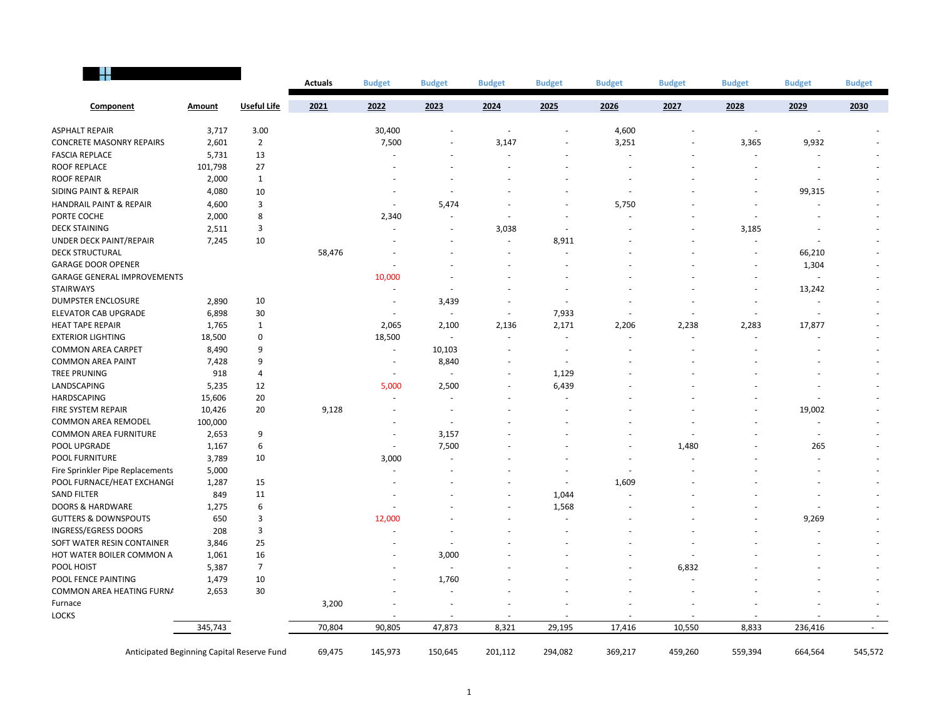|                                            |               |                    | <b>Actuals</b> | <b>Budget</b>            | <b>Budget</b>  | <b>Budget</b> | <b>Budget</b> | <b>Budget</b> | <b>Budget</b>            | <b>Budget</b>            | <b>Budget</b>            | <b>Budget</b> |
|--------------------------------------------|---------------|--------------------|----------------|--------------------------|----------------|---------------|---------------|---------------|--------------------------|--------------------------|--------------------------|---------------|
| Component                                  | <b>Amount</b> | <b>Useful Life</b> | 2021           | 2022                     | 2023           | 2024          | 2025          | 2026          | 2027                     | 2028                     | 2029                     | 2030          |
| <b>ASPHALT REPAIR</b>                      | 3,717         | 3.00               |                | 30,400                   |                | $\sim$        |               | 4,600         |                          | $\sim$                   | ÷,                       |               |
| <b>CONCRETE MASONRY REPAIRS</b>            | 2,601         | $\overline{2}$     |                | 7,500                    |                | 3,147         |               | 3,251         |                          | 3,365                    | 9,932                    |               |
| <b>FASCIA REPLACE</b>                      | 5,731         | 13                 |                |                          |                |               |               |               |                          |                          |                          |               |
| <b>ROOF REPLACE</b>                        | 101,798       | 27                 |                |                          |                |               |               |               |                          |                          | $\overline{\phantom{a}}$ |               |
| <b>ROOF REPAIR</b>                         | 2,000         | $\mathbf{1}$       |                |                          |                |               |               |               |                          |                          |                          |               |
| <b>SIDING PAINT &amp; REPAIR</b>           | 4,080         | 10                 |                |                          |                |               |               |               |                          |                          | 99,315                   |               |
| HANDRAIL PAINT & REPAIR                    | 4,600         | 3                  |                |                          | 5,474          |               |               | 5,750         |                          |                          |                          |               |
| PORTE COCHE                                | 2,000         | 8                  |                | 2,340                    |                |               |               |               |                          |                          |                          |               |
| <b>DECK STAINING</b>                       | 2,511         | 3                  |                |                          | ٠              | 3,038         | $\sim$        |               |                          | 3,185                    | ٠                        |               |
| UNDER DECK PAINT/REPAIR                    | 7,245         | 10                 |                |                          |                |               | 8,911         |               |                          |                          |                          |               |
| <b>DECK STRUCTURAL</b>                     |               |                    | 58,476         |                          |                |               |               |               |                          |                          | 66,210                   |               |
| <b>GARAGE DOOR OPENER</b>                  |               |                    |                |                          |                |               |               |               |                          |                          | 1,304                    |               |
| <b>GARAGE GENERAL IMPROVEMENTS</b>         |               |                    |                | 10,000                   |                |               |               |               |                          |                          |                          |               |
| <b>STAIRWAYS</b>                           |               |                    |                |                          |                |               |               |               |                          |                          | 13,242                   |               |
| <b>DUMPSTER ENCLOSURE</b>                  | 2,890         | 10                 |                |                          | 3,439          |               | $\sim$        |               |                          |                          |                          |               |
| <b>ELEVATOR CAB UPGRADE</b>                | 6,898         | 30                 |                |                          |                | $\sim$        | 7,933         |               |                          | $\overline{\phantom{a}}$ |                          |               |
| <b>HEAT TAPE REPAIR</b>                    | 1,765         | 1                  |                | 2,065                    | 2,100          | 2,136         | 2,171         | 2,206         | 2,238                    | 2,283                    | 17,877                   |               |
| <b>EXTERIOR LIGHTING</b>                   | 18,500        | $\mathbf 0$        |                | 18,500                   |                | $\sim$        | $\sim$        |               | $\overline{\phantom{a}}$ |                          |                          |               |
| <b>COMMON AREA CARPET</b>                  | 8,490         | 9                  |                | $\overline{a}$           | 10,103         |               |               |               |                          |                          |                          |               |
| <b>COMMON AREA PAINT</b>                   | 7,428         | 9                  |                |                          | 8,840          |               |               |               |                          |                          |                          |               |
| <b>TREE PRUNING</b>                        | 918           | 4                  |                |                          |                |               | 1,129         |               |                          |                          |                          |               |
| LANDSCAPING                                | 5,235         | 12                 |                | 5,000                    | 2,500          |               | 6,439         |               |                          |                          |                          |               |
| HARDSCAPING                                | 15,606        | 20                 |                |                          | $\overline{a}$ |               |               |               |                          |                          |                          |               |
| FIRE SYSTEM REPAIR                         | 10,426        | 20                 | 9,128          |                          |                |               |               |               |                          |                          | 19,002                   |               |
| <b>COMMON AREA REMODEL</b>                 | 100,000       |                    |                |                          |                |               |               |               |                          |                          |                          |               |
| <b>COMMON AREA FURNITURE</b>               | 2,653         | 9                  |                |                          | 3,157          |               |               |               |                          |                          |                          |               |
| POOL UPGRADE                               | 1,167         | 6                  |                | $\overline{\phantom{a}}$ | 7,500          |               |               |               | 1,480                    |                          | 265                      |               |
| POOL FURNITURE                             | 3,789         | 10                 |                | 3,000                    |                |               |               |               |                          |                          |                          |               |
| Fire Sprinkler Pipe Replacements           | 5,000         |                    |                |                          |                |               |               |               |                          |                          |                          |               |
| POOL FURNACE/HEAT EXCHANGE                 | 1,287         | 15                 |                |                          |                |               |               | 1,609         |                          |                          |                          |               |
| <b>SAND FILTER</b>                         | 849           | 11                 |                |                          |                |               | 1,044         |               |                          |                          |                          |               |
| <b>DOORS &amp; HARDWARE</b>                | 1,275         | 6                  |                |                          |                |               | 1,568         |               |                          |                          |                          |               |
| <b>GUTTERS &amp; DOWNSPOUTS</b>            | 650           | 3                  |                | 12,000                   |                |               |               |               |                          |                          | 9,269                    |               |
| INGRESS/EGRESS DOORS                       | 208           | 3                  |                |                          |                |               |               |               |                          |                          |                          |               |
| SOFT WATER RESIN CONTAINER                 | 3,846         | 25                 |                |                          |                |               |               |               |                          |                          |                          |               |
| HOT WATER BOILER COMMON A                  | 1,061         | 16                 |                |                          | 3,000          |               |               |               |                          |                          |                          |               |
| POOL HOIST                                 | 5,387         | $\overline{7}$     |                |                          |                |               |               |               | 6,832                    |                          |                          |               |
| POOL FENCE PAINTING                        | 1,479         | 10                 |                |                          | 1,760          |               |               |               |                          |                          |                          |               |
| COMMON AREA HEATING FURNA                  | 2,653         | 30                 |                |                          |                |               |               |               |                          |                          |                          |               |
| Furnace                                    |               |                    | 3,200          |                          |                |               |               |               |                          |                          |                          |               |
| <b>LOCKS</b>                               |               |                    |                |                          |                |               |               |               |                          |                          |                          |               |
|                                            | 345,743       |                    | 70,804         | 90,805                   | 47,873         | 8,321         | 29,195        | 17,416        | 10,550                   | 8,833                    | 236,416                  |               |
| Anticipated Beginning Capital Reserve Fund |               |                    | 69,475         | 145,973                  | 150,645        | 201,112       | 294,082       | 369,217       | 459,260                  | 559,394                  | 664,564                  | 545,572       |